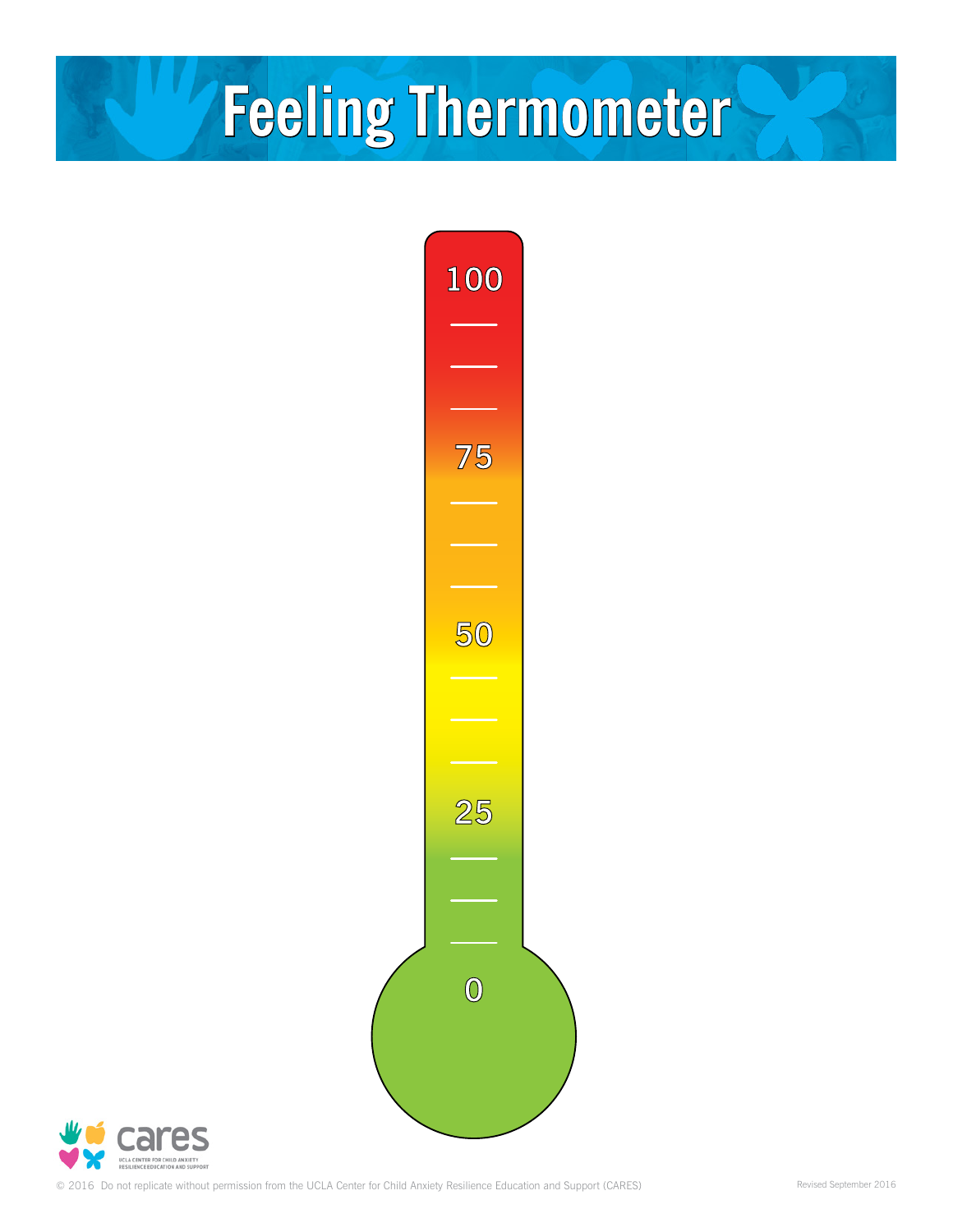## **Feeling Thermometer Feeling Thermometer**